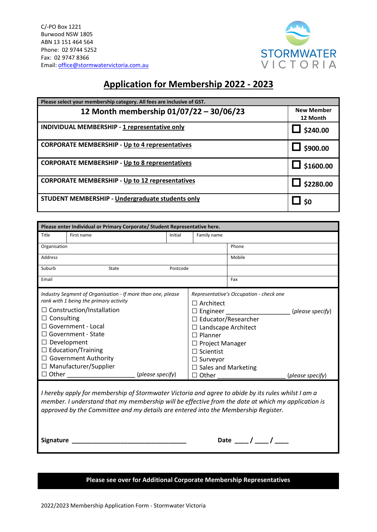

## **Application for Membership 2022 - 2023**

| Please select your membership category. All fees are inclusive of GST. |                               |  |  |  |
|------------------------------------------------------------------------|-------------------------------|--|--|--|
| 12 Month membership 01/07/22 - 30/06/23                                | <b>New Member</b><br>12 Month |  |  |  |
| INDIVIDUAL MEMBERSHIP - 1 representative only                          | \$240.00                      |  |  |  |
| <b>CORPORATE MEMBERSHIP - Up to 4 representatives</b>                  | \$900.00                      |  |  |  |
| <b>CORPORATE MEMBERSHIP - Up to 8 representatives</b>                  | \$1600.00                     |  |  |  |
| <b>CORPORATE MEMBERSHIP - Up to 12 representatives</b>                 | \$2280.00                     |  |  |  |
| STUDENT MEMBERSHIP - Undergraduate students only                       | <b>SO</b>                     |  |  |  |

| Title<br>First name<br>Initial<br>Family name<br>Organisation<br>Phone<br><b>Address</b><br>Mobile<br>Suburb<br><b>State</b><br>Postcode<br>Email<br>Fax<br>Industry Segment of Organisation - If more than one, please<br>Representative's Occupation - check one<br>rank with 1 being the primary activity<br>$\Box$ Architect<br>$\Box$ Construction/Installation<br>$\Box$ Engineer<br>Consulting<br>⊔<br>□ Educator/Researcher<br>$\Box$ Government - Local<br>$\Box$ Landscape Architect<br>Government - State<br>$\Box$ Planner<br>Development<br>$\Box$ Project Manager<br>$\Box$ Education/Training<br>Scientist<br>- 1 | Please enter Individual or Primary Corporate/ Student Representative here. |                                      |  |  |  |
|----------------------------------------------------------------------------------------------------------------------------------------------------------------------------------------------------------------------------------------------------------------------------------------------------------------------------------------------------------------------------------------------------------------------------------------------------------------------------------------------------------------------------------------------------------------------------------------------------------------------------------|----------------------------------------------------------------------------|--------------------------------------|--|--|--|
|                                                                                                                                                                                                                                                                                                                                                                                                                                                                                                                                                                                                                                  |                                                                            |                                      |  |  |  |
|                                                                                                                                                                                                                                                                                                                                                                                                                                                                                                                                                                                                                                  |                                                                            |                                      |  |  |  |
|                                                                                                                                                                                                                                                                                                                                                                                                                                                                                                                                                                                                                                  |                                                                            |                                      |  |  |  |
|                                                                                                                                                                                                                                                                                                                                                                                                                                                                                                                                                                                                                                  |                                                                            |                                      |  |  |  |
|                                                                                                                                                                                                                                                                                                                                                                                                                                                                                                                                                                                                                                  |                                                                            |                                      |  |  |  |
| <b>Government Authority</b><br>$\Box$ Surveyor<br>$\Box$ Manufacturer/Supplier<br>$\Box$ Sales and Marketing<br>$\Box$ Other<br>(please specify)<br>$\Box$ Other                                                                                                                                                                                                                                                                                                                                                                                                                                                                 |                                                                            | (please specify)<br>(please specify) |  |  |  |

*I hereby apply for membership of Stormwater Victoria and agree to abide by its rules whilst I am a member. I understand that my membership will be effective from the date at which my application is approved by the Committee and my details are entered into the Membership Register.*

**Signature \_\_\_\_\_\_\_\_\_\_\_\_\_\_\_\_\_\_\_\_\_\_\_\_\_\_\_\_\_\_\_\_\_ Date \_\_\_\_ / \_\_\_\_ / \_\_\_\_** 

| Date |  |  |
|------|--|--|
|      |  |  |

## **Please see over for Additional Corporate Membership Representatives**